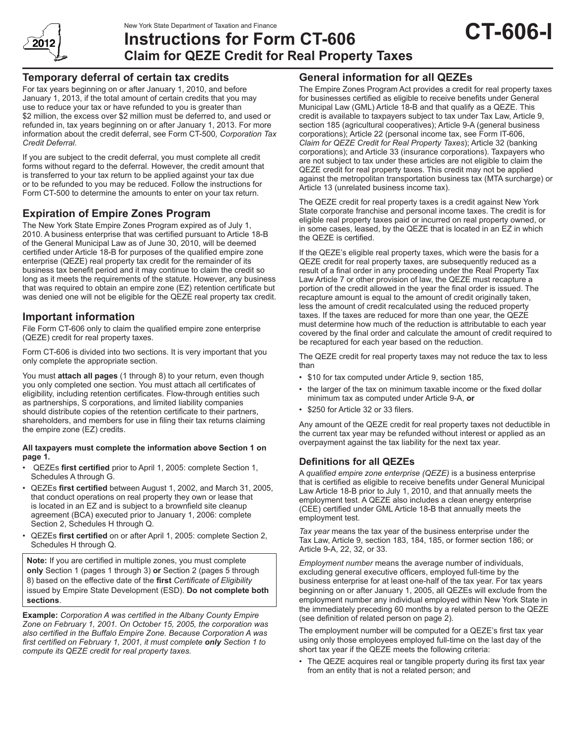

# New York State Department of Taxation and Finance **Instructions for Form CT-606 Claim for QEZE Credit for Real Property Taxes**

# **Temporary deferral of certain tax credits**

For tax years beginning on or after January 1, 2010, and before January 1, 2013, if the total amount of certain credits that you may use to reduce your tax or have refunded to you is greater than \$2 million, the excess over \$2 million must be deferred to, and used or refunded in, tax years beginning on or after January 1, 2013. For more information about the credit deferral, see Form CT-500*, Corporation Tax Credit Deferral*.

If you are subject to the credit deferral, you must complete all credit forms without regard to the deferral. However, the credit amount that is transferred to your tax return to be applied against your tax due or to be refunded to you may be reduced. Follow the instructions for Form CT-500 to determine the amounts to enter on your tax return.

# **Expiration of Empire Zones Program**

The New York State Empire Zones Program expired as of July 1, 2010. A business enterprise that was certified pursuant to Article 18-B of the General Municipal Law as of June 30, 2010, will be deemed certified under Article 18-B for purposes of the qualified empire zone enterprise (QEZE) real property tax credit for the remainder of its business tax benefit period and it may continue to claim the credit so long as it meets the requirements of the statute. However, any business that was required to obtain an empire zone (EZ) retention certificate but was denied one will not be eligible for the QEZE real property tax credit.

# **Important information**

File Form CT-606 only to claim the qualified empire zone enterprise (QEZE) credit for real property taxes.

Form CT-606 is divided into two sections. It is very important that you only complete the appropriate section.

You must **attach all pages** (1 through 8) to your return, even though you only completed one section. You must attach all certificates of eligibility, including retention certificates. Flow-through entities such as partnerships, S corporations, and limited liability companies should distribute copies of the retention certificate to their partners, shareholders, and members for use in filing their tax returns claiming the empire zone (EZ) credits.

#### **All taxpayers must complete the information above Section 1 on page 1.**

- QEZEs **first certified** prior to April 1, 2005: complete Section 1, Schedules A through G.
- QEZEs **first certified** between August 1, 2002, and March 31, 2005, that conduct operations on real property they own or lease that is located in an EZ and is subject to a brownfield site cleanup agreement (BCA) executed prior to January 1, 2006: complete Section 2, Schedules H through Q.
- QEZEs **first certified** on or after April 1, 2005: complete Section 2, Schedules H through Q.

**Note:** If you are certified in multiple zones, you must complete **only** Section 1 (pages 1 through 3) **or** Section 2 (pages 5 through 8) based on the effective date of the **first** *Certificate of Eligibility*  issued by Empire State Development (ESD). **Do not complete both sections**.

**Example:** *Corporation A was certified in the Albany County Empire Zone on February 1, 2001. On October 15, 2005, the corporation was also certified in the Buffalo Empire Zone. Because Corporation A was first certified on February 1, 2001, it must complete only Section 1 to compute its QEZE credit for real property taxes.*

# **General information for all QEZEs**

The Empire Zones Program Act provides a credit for real property taxes for businesses certified as eligible to receive benefits under General Municipal Law (GML) Article 18-B and that qualify as a QEZE. This credit is available to taxpayers subject to tax under Tax Law, Article 9, section 185 (agricultural cooperatives); Article 9-A (general business corporations); Article 22 (personal income tax, see Form IT-606, *Claim for QEZE Credit for Real Property Taxes*); Article 32 (banking corporations); and Article 33 (insurance corporations). Taxpayers who are not subject to tax under these articles are not eligible to claim the QEZE credit for real property taxes. This credit may not be applied against the metropolitan transportation business tax (MTA surcharge) or Article 13 (unrelated business income tax).

The QEZE credit for real property taxes is a credit against New York State corporate franchise and personal income taxes. The credit is for eligible real property taxes paid or incurred on real property owned, or in some cases, leased, by the QEZE that is located in an EZ in which the QEZE is certified.

If the QEZE's eligible real property taxes, which were the basis for a QEZE credit for real property taxes, are subsequently reduced as a result of a final order in any proceeding under the Real Property Tax Law Article 7 or other provision of law, the QEZE must recapture a portion of the credit allowed in the year the final order is issued. The recapture amount is equal to the amount of credit originally taken, less the amount of credit recalculated using the reduced property taxes. If the taxes are reduced for more than one year, the QEZE must determine how much of the reduction is attributable to each year covered by the final order and calculate the amount of credit required to be recaptured for each year based on the reduction.

The QEZE credit for real property taxes may not reduce the tax to less than

- \$10 for tax computed under Article 9, section 185,
- the larger of the tax on minimum taxable income or the fixed dollar minimum tax as computed under Article 9-A, **or**
- \$250 for Article 32 or 33 filers.

Any amount of the QEZE credit for real property taxes not deductible in the current tax year may be refunded without interest or applied as an overpayment against the tax liability for the next tax year.

# **Definitions for all QEZEs**

A *qualified empire zone enterprise (QEZE)* is a business enterprise that is certified as eligible to receive benefits under General Municipal Law Article 18‑B prior to July 1, 2010, and that annually meets the employment test. A QEZE also includes a clean energy enterprise (CEE) certified under GML Article 18-B that annually meets the employment test.

*Tax year* means the tax year of the business enterprise under the Tax Law, Article 9, section 183, 184, 185, or former section 186; or Article 9-A, 22, 32, or 33.

*Employment number* means the average number of individuals, excluding general executive officers, employed full-time by the business enterprise for at least one-half of the tax year. For tax years beginning on or after January 1, 2005, all QEZEs will exclude from the employment number any individual employed within New York State in the immediately preceding 60 months by a related person to the QEZE (see definition of related person on page 2).

The employment number will be computed for a QEZE's first tax year using only those employees employed full-time on the last day of the short tax year if the QEZE meets the following criteria:

• The QEZE acquires real or tangible property during its first tax year from an entity that is not a related person; and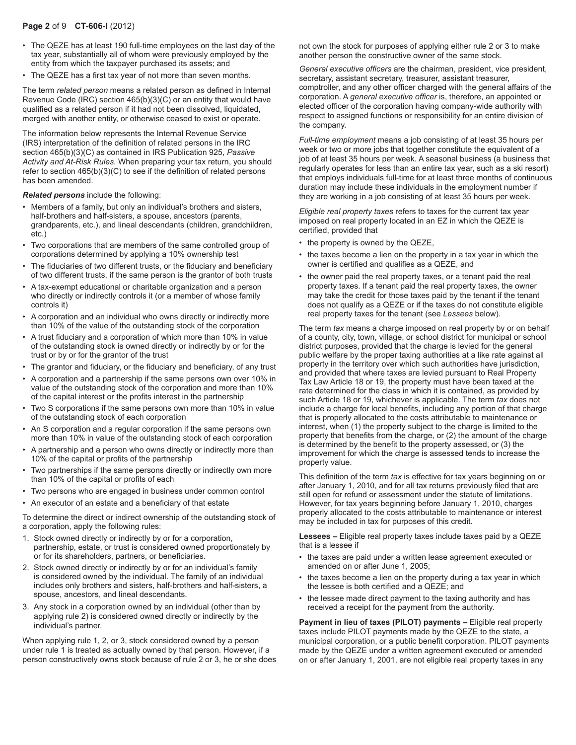#### **Page 2** of 9 **CT-606-I** (2012)

- The QEZE has at least 190 full-time employees on the last day of the tax year, substantially all of whom were previously employed by the entity from which the taxpayer purchased its assets; and
- The QEZE has a first tax year of not more than seven months.

The term *related person* means a related person as defined in Internal Revenue Code (IRC) section 465(b)(3)(C) or an entity that would have qualified as a related person if it had not been dissolved, liquidated, merged with another entity, or otherwise ceased to exist or operate.

The information below represents the Internal Revenue Service (IRS) interpretation of the definition of related persons in the IRC section 465(b)(3)(C) as contained in IRS Publication 925, *Passive Activity and At-Risk Rules*. When preparing your tax return, you should refer to section 465(b)(3)(C) to see if the definition of related persons has been amended.

*Related persons* include the following:

- Members of a family, but only an individual's brothers and sisters, half-brothers and half-sisters, a spouse, ancestors (parents, grandparents, etc.), and lineal descendants (children, grandchildren, etc.)
- Two corporations that are members of the same controlled group of corporations determined by applying a 10% ownership test
- The fiduciaries of two different trusts, or the fiduciary and beneficiary of two different trusts, if the same person is the grantor of both trusts
- A tax-exempt educational or charitable organization and a person who directly or indirectly controls it (or a member of whose family controls it)
- A corporation and an individual who owns directly or indirectly more than 10% of the value of the outstanding stock of the corporation
- A trust fiduciary and a corporation of which more than 10% in value of the outstanding stock is owned directly or indirectly by or for the trust or by or for the grantor of the trust
- The grantor and fiduciary, or the fiduciary and beneficiary, of any trust
- A corporation and a partnership if the same persons own over 10% in value of the outstanding stock of the corporation and more than 10% of the capital interest or the profits interest in the partnership
- Two S corporations if the same persons own more than 10% in value of the outstanding stock of each corporation
- An S corporation and a regular corporation if the same persons own more than 10% in value of the outstanding stock of each corporation
- A partnership and a person who owns directly or indirectly more than 10% of the capital or profits of the partnership
- Two partnerships if the same persons directly or indirectly own more than 10% of the capital or profits of each
- Two persons who are engaged in business under common control
- An executor of an estate and a beneficiary of that estate

To determine the direct or indirect ownership of the outstanding stock of a corporation, apply the following rules:

- 1. Stock owned directly or indirectly by or for a corporation, partnership, estate, or trust is considered owned proportionately by or for its shareholders, partners, or beneficiaries.
- 2. Stock owned directly or indirectly by or for an individual's family is considered owned by the individual. The family of an individual includes only brothers and sisters, half-brothers and half-sisters, a spouse, ancestors, and lineal descendants.
- 3. Any stock in a corporation owned by an individual (other than by applying rule 2) is considered owned directly or indirectly by the individual's partner.

When applying rule 1, 2, or 3, stock considered owned by a person under rule 1 is treated as actually owned by that person. However, if a person constructively owns stock because of rule 2 or 3, he or she does not own the stock for purposes of applying either rule 2 or 3 to make another person the constructive owner of the same stock.

*General executive officers* are the chairman, president, vice president, secretary, assistant secretary, treasurer, assistant treasurer, comptroller, and any other officer charged with the general affairs of the corporation. A *general executive officer* is, therefore, an appointed or elected officer of the corporation having company‑wide authority with respect to assigned functions or responsibility for an entire division of the company.

*Full‑time employment* means a job consisting of at least 35 hours per week or two or more jobs that together constitute the equivalent of a job of at least 35 hours per week. A seasonal business (a business that regularly operates for less than an entire tax year, such as a ski resort) that employs individuals full-time for at least three months of continuous duration may include these individuals in the employment number if they are working in a job consisting of at least 35 hours per week.

*Eligible real property taxes* refers to taxes for the current tax year imposed on real property located in an EZ in which the QEZE is certified, provided that

- the property is owned by the QEZE,
- the taxes become a lien on the property in a tax year in which the owner is certified and qualifies as a QEZE, and
- the owner paid the real property taxes, or a tenant paid the real property taxes. If a tenant paid the real property taxes, the owner may take the credit for those taxes paid by the tenant if the tenant does not qualify as a QEZE or if the taxes do not constitute eligible real property taxes for the tenant (see *Lessees* below).

The term *tax* means a charge imposed on real property by or on behalf of a county, city, town, village, or school district for municipal or school district purposes, provided that the charge is levied for the general public welfare by the proper taxing authorities at a like rate against all property in the territory over which such authorities have jurisdiction, and provided that where taxes are levied pursuant to Real Property Tax Law Article 18 or 19, the property must have been taxed at the rate determined for the class in which it is contained, as provided by such Article 18 or 19, whichever is applicable. The term *tax* does not include a charge for local benefits, including any portion of that charge that is properly allocated to the costs attributable to maintenance or interest, when (1) the property subject to the charge is limited to the property that benefits from the charge, or (2) the amount of the charge is determined by the benefit to the property assessed, or (3) the improvement for which the charge is assessed tends to increase the property value.

This definition of the term *tax* is effective for tax years beginning on or after January 1, 2010, and for all tax returns previously filed that are still open for refund or assessment under the statute of limitations. However, for tax years beginning before January 1, 2010, charges properly allocated to the costs attributable to maintenance or interest may be included in tax for purposes of this credit.

**Lessees –** Eligible real property taxes include taxes paid by a QEZE that is a lessee if

- the taxes are paid under a written lease agreement executed or amended on or after June 1, 2005;
- the taxes become a lien on the property during a tax year in which the lessee is both certified and a QEZE; and
- the lessee made direct payment to the taxing authority and has received a receipt for the payment from the authority.

**Payment in lieu of taxes (PILOT) payments –** Eligible real property taxes include PILOT payments made by the QEZE to the state, a municipal corporation, or a public benefit corporation. PILOT payments made by the QEZE under a written agreement executed or amended on or after January 1, 2001, are not eligible real property taxes in any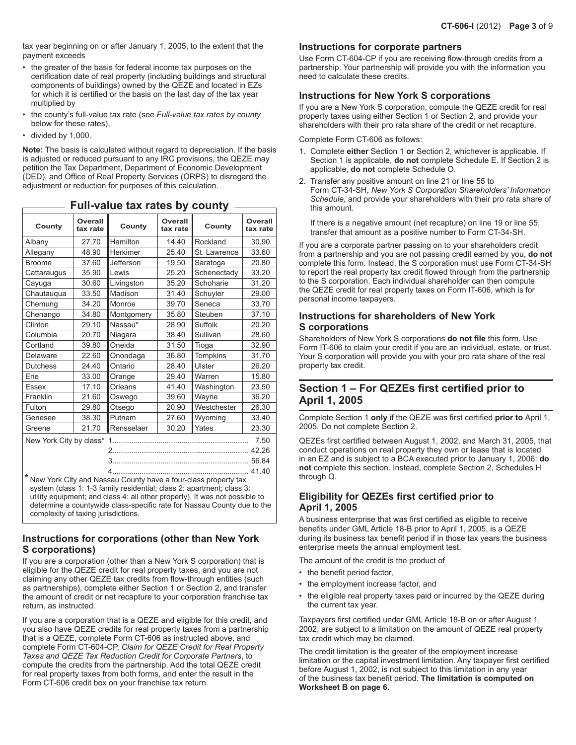tax year beginning on or after January 1, 2005, to the extent that the payment exceeds

- the greater of the basis for federal income tax purposes on the certification date of real property (including buildings and structural components of buildings) owned by the QEZE and located in EZs for which it is certified or the basis on the last day of the tax year multiplied by
- the county's full-value tax rate (see *Full-value tax rates by county* below for these rates),
- divided by 1,000.

**Note:** The basis is calculated without regard to depreciation. If the basis is adjusted or reduced pursuant to any IRC provisions, the QEZE may petition the Tax Department, Department of Economic Development (DED), and Office of Real Property Services (ORPS) to disregard the adjustment or reduction for purposes of this calculation.

| County                                                                                                                                                                                                                                                                                                                                     | Overall<br>tax rate      | County              | Overall<br>tax rate | County          | Overall<br>tax rate |  |  |
|--------------------------------------------------------------------------------------------------------------------------------------------------------------------------------------------------------------------------------------------------------------------------------------------------------------------------------------------|--------------------------|---------------------|---------------------|-----------------|---------------------|--|--|
| Albany                                                                                                                                                                                                                                                                                                                                     | 27.70                    | Hamilton            | 14.40               | Rockland        | 30.90               |  |  |
| Allegany                                                                                                                                                                                                                                                                                                                                   | 48.90                    | Herkimer            | 25.40               | St. Lawrence    | 33.60               |  |  |
| <b>Broome</b>                                                                                                                                                                                                                                                                                                                              | 37.60                    | Jefferson           | 19.50               | Saratoga        | 20.80               |  |  |
| Cattaraugus                                                                                                                                                                                                                                                                                                                                | 35.90                    | Lewis               | 25.20               | Schenectady     | 33.20               |  |  |
| Cayuga                                                                                                                                                                                                                                                                                                                                     | 30.60                    | Livingston          | 35.20               | Schoharie       | 31.20               |  |  |
| Chautauqua                                                                                                                                                                                                                                                                                                                                 | 33.50                    | Madison             | 31.40               | Schuyler        | 29.00               |  |  |
| Chemung                                                                                                                                                                                                                                                                                                                                    | 34.20                    | Monroe              | 39.70               | Seneca          | 33.70               |  |  |
| Chenango                                                                                                                                                                                                                                                                                                                                   | 34.80                    | Montgomery          | 35.80               | Steuben         | 37.10               |  |  |
| Clinton<br>29.10                                                                                                                                                                                                                                                                                                                           |                          | Nassau*             | 28.90               | Suffolk         | 20.20               |  |  |
| Columbia                                                                                                                                                                                                                                                                                                                                   | 20.70                    |                     | 38.40               | Sullivan        | 28.60               |  |  |
| Cortland                                                                                                                                                                                                                                                                                                                                   | 39.80                    |                     | 31.50               | Tioga           | 32.90               |  |  |
| Delaware                                                                                                                                                                                                                                                                                                                                   | 22.60                    |                     | 36.80               | <b>Tompkins</b> | 31.70               |  |  |
| <b>Dutchess</b>                                                                                                                                                                                                                                                                                                                            | 24.40                    | Ontario             | 28.40               | Ulster          | 26.20               |  |  |
| Erie                                                                                                                                                                                                                                                                                                                                       | 33.00                    | Orange              | 29.40               | Warren          | 15.80               |  |  |
| <b>Essex</b>                                                                                                                                                                                                                                                                                                                               | 17.10                    | Orleans             | 41.40               | Washington      | 23.50               |  |  |
| Franklin                                                                                                                                                                                                                                                                                                                                   | 21.60<br>39.60<br>Oswego |                     |                     | Wayne           | 36.20               |  |  |
| Fulton                                                                                                                                                                                                                                                                                                                                     | 29.80                    | Otsego<br>20.90     |                     | Westchester     | 26.30               |  |  |
| Genesee                                                                                                                                                                                                                                                                                                                                    | 38.30                    | Putnam<br>27.60     |                     | Wyoming         | 33.40               |  |  |
| Greene                                                                                                                                                                                                                                                                                                                                     | 21.70                    | Rensselaer<br>30.20 |                     | Yates           | 23.30               |  |  |
| New York City by class*<br>7.50                                                                                                                                                                                                                                                                                                            |                          |                     |                     |                 |                     |  |  |
| 42.26                                                                                                                                                                                                                                                                                                                                      |                          |                     |                     |                 |                     |  |  |
| 56.84                                                                                                                                                                                                                                                                                                                                      |                          |                     |                     |                 |                     |  |  |
|                                                                                                                                                                                                                                                                                                                                            |                          |                     |                     |                 |                     |  |  |
| * New York City and Nassau County have a four-class property tax<br>system (class 1: 1-3 family residential; class 2: apartment; class 3:<br>utility equipment; and class 4: all other property). It was not possible to<br>determine a countywide class-specific rate for Nassau County due to the<br>complexity of taxing jurisdictions. |                          |                     |                     |                 |                     |  |  |

**Full-value tax rates by county**

## **Instructions for corporations (other than New York S corporations)**

If you are a corporation (other than a New York S corporation) that is eligible for the QEZE credit for real property taxes, and you are not claiming any other QEZE tax credits from flow-through entities (such as partnerships), complete either Section 1 or Section 2, and transfer the amount of credit or net recapture to your corporation franchise tax return, as instructed.

If you are a corporation that is a QEZE and eligible for this credit, and you also have QEZE credits for real property taxes from a partnership that is a QEZE, complete Form CT-606 as instructed above, and complete Form CT-604-CP, *Claim for QEZE Credit for Real Property Taxes and QEZE Tax Reduction Credit for Corporate Partners*, to compute the credits from the partnership. Add the total QEZE credit for real property taxes from both forms, and enter the result in the Form CT-606 credit box on your franchise tax return.

## **Instructions for corporate partners**

Use Form CT-604-CP if you are receiving flow-through credits from a partnership. Your partnership will provide you with the information you need to calculate these credits.

## **Instructions for New York S corporations**

If you are a New York S corporation, compute the QEZE credit for real property taxes using either Section 1 or Section 2, and provide your shareholders with their pro rata share of the credit or net recapture.

Complete Form CT-606 as follows:

- 1. Complete **either** Section 1 **or** Section 2, whichever is applicable. If Section 1 is applicable, **do not** complete Schedule E. If Section 2 is applicable, **do not** complete Schedule O.
- 2. Transfer any positive amount on line 21 or line 55 to Form CT‑34‑SH, *New York S Corporation Shareholders' Information Schedule,* and provide your shareholders with their pro rata share of this amount.

If there is a negative amount (net recapture) on line 19 or line 55, transfer that amount as a positive number to Form CT-34-SH.

If you are a corporate partner passing on to your shareholders credit from a partnership and you are not passing credit earned by you, **do not** complete this form. Instead, the S corporation must use Form CT-34-SH to report the real property tax credit flowed through from the partnership to the S corporation. Each individual shareholder can then compute the QEZE credit for real property taxes on Form IT-606, which is for personal income taxpayers.

## **Instructions for shareholders of New York S corporations**

Shareholders of New York S corporations **do not file** this form. Use Form IT-606 to claim your credit if you are an individual, estate, or trust. Your S corporation will provide you with your pro rata share of the real property tax credit.

# **Section 1 – For QEZEs first certified prior to April 1, 2005**

Complete Section 1 **only** if the QEZE was first certified **prior to** April 1, 2005. Do not complete Section 2.

QEZEs first certified between August 1, 2002, and March 31, 2005, that conduct operations on real property they own or lease that is located in an EZ and is subject to a BCA executed prior to January 1, 2006: **do not** complete this section. Instead, complete Section 2, Schedules H through Q.

#### **Eligibility for QEZEs first certified prior to April 1, 2005**

A business enterprise that was first certified as eligible to receive benefits under GML Article 18‑B prior to April 1, 2005, is a QEZE during its business tax benefit period if in those tax years the business enterprise meets the annual employment test.

The amount of the credit is the product of

- the benefit period factor,
- the employment increase factor, and
- the eligible real property taxes paid or incurred by the QEZE during the current tax year.

Taxpayers first certified under GML Article 18-B on or after August 1, 2002, are subject to a limitation on the amount of QEZE real property tax credit which may be claimed.

The credit limitation is the greater of the employment increase limitation or the capital investment limitation. Any taxpayer first certified before August 1, 2002, is not subject to this limitation in any year of the business tax benefit period. **The limitation is computed on Worksheet B on page 6.**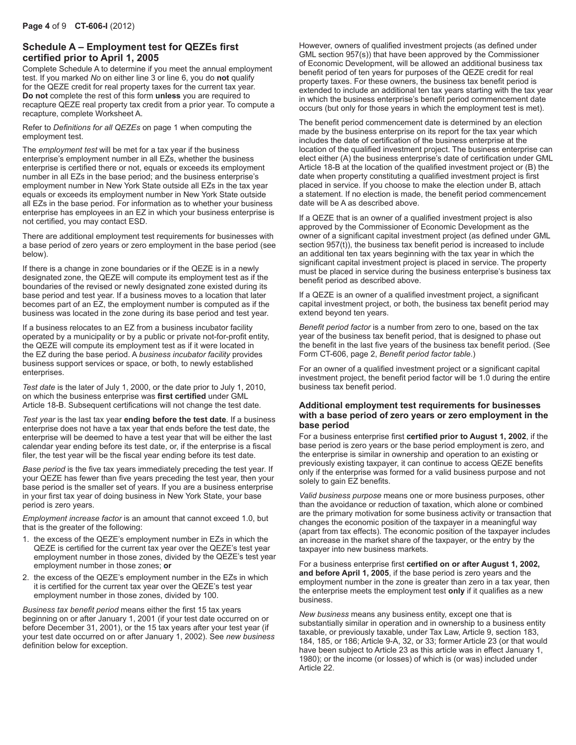## **Schedule A – Employment test for QEZEs first certified prior to April 1, 2005**

Complete Schedule A to determine if you meet the annual employment test. If you marked *No* on either line 3 or line 6, you do **not** qualify for the QEZE credit for real property taxes for the current tax year. **Do not** complete the rest of this form **unless** you are required to recapture QEZE real property tax credit from a prior year. To compute a recapture, complete Worksheet A.

Refer to *Definitions for all QEZEs* on page 1 when computing the employment test.

The *employment test* will be met for a tax year if the business enterprise's employment number in all EZs, whether the business enterprise is certified there or not, equals or exceeds its employment number in all EZs in the base period; and the business enterprise's employment number in New York State outside all EZs in the tax year equals or exceeds its employment number in New York State outside all EZs in the base period. For information as to whether your business enterprise has employees in an EZ in which your business enterprise is not certified, you may contact ESD.

There are additional employment test requirements for businesses with a base period of zero years or zero employment in the base period (see below).

If there is a change in zone boundaries or if the QEZE is in a newly designated zone, the QEZE will compute its employment test as if the boundaries of the revised or newly designated zone existed during its base period and test year. If a business moves to a location that later becomes part of an EZ, the employment number is computed as if the business was located in the zone during its base period and test year.

If a business relocates to an EZ from a business incubator facility operated by a municipality or by a public or private not-for-profit entity, the QEZE will compute its employment test as if it were located in the EZ during the base period. A *business incubator facility* provides business support services or space, or both, to newly established enterprises.

*Test date* is the later of July 1, 2000, or the date prior to July 1, 2010, on which the business enterprise was **first certified** under GML Article 18‑B. Subsequent certifications will not change the test date.

*Test year* is the last tax year **ending before the test date**. If a business enterprise does not have a tax year that ends before the test date, the enterprise will be deemed to have a test year that will be either the last calendar year ending before its test date, or, if the enterprise is a fiscal filer, the test year will be the fiscal year ending before its test date.

*Base period* is the five tax years immediately preceding the test year. If your QEZE has fewer than five years preceding the test year, then your base period is the smaller set of years. If you are a business enterprise in your first tax year of doing business in New York State, your base period is zero years.

*Employment increase factor* is an amount that cannot exceed 1.0, but that is the greater of the following:

- 1. the excess of the QEZE's employment number in EZs in which the QEZE is certified for the current tax year over the QEZE's test year employment number in those zones, divided by the QEZE's test year employment number in those zones; **or**
- 2. the excess of the QEZE's employment number in the EZs in which it is certified for the current tax year over the QEZE's test year employment number in those zones, divided by 100.

*Business tax benefit period* means either the first 15 tax years beginning on or after January 1, 2001 (if your test date occurred on or before December 31, 2001), or the 15 tax years after your test year (if your test date occurred on or after January 1, 2002). See *new business* definition below for exception.

However, owners of qualified investment projects (as defined under GML section 957(s)) that have been approved by the Commissioner of Economic Development, will be allowed an additional business tax benefit period of ten years for purposes of the QEZE credit for real property taxes. For these owners, the business tax benefit period is extended to include an additional ten tax years starting with the tax year in which the business enterprise's benefit period commencement date occurs (but only for those years in which the employment test is met).

The benefit period commencement date is determined by an election made by the business enterprise on its report for the tax year which includes the date of certification of the business enterprise at the location of the qualified investment project. The business enterprise can elect either (A) the business enterprise's date of certification under GML Article 18-B at the location of the qualified investment project or (B) the date when property constituting a qualified investment project is first placed in service. If you choose to make the election under B, attach a statement. If no election is made, the benefit period commencement date will be A as described above.

If a QEZE that is an owner of a qualified investment project is also approved by the Commissioner of Economic Development as the owner of a significant capital investment project (as defined under GML section 957(t)), the business tax benefit period is increased to include an additional ten tax years beginning with the tax year in which the significant capital investment project is placed in service. The property must be placed in service during the business enterprise's business tax benefit period as described above.

If a QEZE is an owner of a qualified investment project, a significant capital investment project, or both, the business tax benefit period may extend beyond ten years.

*Benefit period factor* is a number from zero to one, based on the tax year of the business tax benefit period, that is designed to phase out the benefit in the last five years of the business tax benefit period. (See Form CT-606, page 2, *Benefit period factor table*.)

For an owner of a qualified investment project or a significant capital investment project, the benefit period factor will be 1.0 during the entire business tax benefit period.

### **Additional employment test requirements for businesses with a base period of zero years or zero employment in the base period**

For a business enterprise first **certified prior to August 1, 2002**, if the base period is zero years or the base period employment is zero, and the enterprise is similar in ownership and operation to an existing or previously existing taxpayer, it can continue to access QEZE benefits only if the enterprise was formed for a valid business purpose and not solely to gain EZ benefits.

*Valid business purpose* means one or more business purposes, other than the avoidance or reduction of taxation, which alone or combined are the primary motivation for some business activity or transaction that changes the economic position of the taxpayer in a meaningful way (apart from tax effects). The economic position of the taxpayer includes an increase in the market share of the taxpayer, or the entry by the taxpayer into new business markets.

For a business enterprise first **certified on or after August 1, 2002, and before April 1, 2005**, if the base period is zero years and the employment number in the zone is greater than zero in a tax year, then the enterprise meets the employment test **only** if it qualifies as a new business.

*New business* means any business entity, except one that is substantially similar in operation and in ownership to a business entity taxable, or previously taxable, under Tax Law, Article 9, section 183, 184, 185, or 186; Article 9-A, 32, or 33; former Article 23 (or that would have been subject to Article 23 as this article was in effect January 1, 1980); or the income (or losses) of which is (or was) included under Article 22.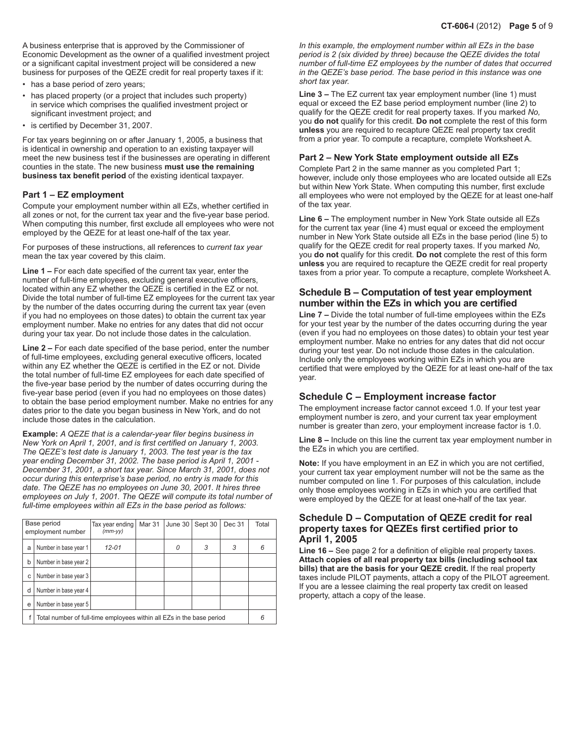A business enterprise that is approved by the Commissioner of Economic Development as the owner of a qualified investment project or a significant capital investment project will be considered a new business for purposes of the QEZE credit for real property taxes if it:

- has a base period of zero years;
- has placed property (or a project that includes such property) in service which comprises the qualified investment project or significant investment project; and
- is certified by December 31, 2007.

For tax years beginning on or after January 1, 2005, a business that is identical in ownership and operation to an existing taxpayer will meet the new business test if the businesses are operating in different counties in the state. The new business **must use the remaining business tax benefit period** of the existing identical taxpayer.

#### **Part 1 – EZ employment**

Compute your employment number within all EZs, whether certified in all zones or not, for the current tax year and the five-year base period. When computing this number, first exclude all employees who were not employed by the QEZE for at least one-half of the tax year.

For purposes of these instructions, all references to *current tax year*  mean the tax year covered by this claim.

**Line 1 –** For each date specified of the current tax year, enter the number of full-time employees, excluding general executive officers, located within any EZ whether the QEZE is certified in the EZ or not. Divide the total number of full-time EZ employees for the current tax year by the number of the dates occurring during the current tax year (even if you had no employees on those dates) to obtain the current tax year employment number. Make no entries for any dates that did not occur during your tax year. Do not include those dates in the calculation.

**Line 2 –** For each date specified of the base period, enter the number of full-time employees, excluding general executive officers, located within any EZ whether the QEZE is certified in the EZ or not. Divide the total number of full-time EZ employees for each date specified of the five‑year base period by the number of dates occurring during the five-year base period (even if you had no employees on those dates) to obtain the base period employment number. Make no entries for any dates prior to the date you began business in New York, and do not include those dates in the calculation.

**Example:** *A QEZE that is a calendar-year filer begins business in New York on April 1, 2001, and is first certified on January 1, 2003. The QEZE's test date is January 1, 2003. The test year is the tax year ending December 31, 2002. The base period is April 1, 2001 - December 31, 2001, a short tax year. Since March 31, 2001, does not occur during this enterprise's base period, no entry is made for this date. The QEZE has no employees on June 30, 2001. It hires three employees on July 1, 2001. The QEZE will compute its total number of full‑time employees within all EZs in the base period as follows:*

| Base period       |                                                                       | Tax year ending | Mar 31 | June $30$ | Sept 30 | Dec 31 | Total |
|-------------------|-----------------------------------------------------------------------|-----------------|--------|-----------|---------|--------|-------|
| employment number |                                                                       | $(mm-vv)$       |        |           |         |        |       |
| a                 | Number in base year 1                                                 | $12 - 01$       |        | Ω         | 3       | 3      | 6     |
| b                 | Number in base year 2                                                 |                 |        |           |         |        |       |
| с                 | Number in base year 3                                                 |                 |        |           |         |        |       |
| d                 | Number in base year 4                                                 |                 |        |           |         |        |       |
| e                 | Number in base year 5                                                 |                 |        |           |         |        |       |
|                   | Total number of full-time employees within all EZs in the base period |                 |        |           |         |        |       |

*In this example, the employment number within all EZs in the base period is 2 (six divided by three) because the QEZE divides the total number of full-time EZ employees by the number of dates that occurred in the QEZE's base period. The base period in this instance was one short tax year.*

**Line 3 –** The EZ current tax year employment number (line 1) must equal or exceed the EZ base period employment number (line 2) to qualify for the QEZE credit for real property taxes. If you marked *No,* you **do not** qualify for this credit. **Do not** complete the rest of this form **unless** you are required to recapture QEZE real property tax credit from a prior year. To compute a recapture, complete Worksheet A.

## **Part 2 – New York State employment outside all EZs**

Complete Part 2 in the same manner as you completed Part 1; however, include only those employees who are located outside all EZs but within New York State. When computing this number, first exclude all employees who were not employed by the QEZE for at least one-half of the tax year.

**Line 6 –** The employment number in New York State outside all EZs for the current tax year (line 4) must equal or exceed the employment number in New York State outside all EZs in the base period (line 5) to qualify for the QEZE credit for real property taxes. If you marked *No,* you **do not** qualify for this credit. **Do not** complete the rest of this form **unless** you are required to recapture the QEZE credit for real property taxes from a prior year. To compute a recapture, complete Worksheet A.

## **Schedule B – Computation of test year employment number within the EZs in which you are certified**

**Line 7 –** Divide the total number of full-time employees within the EZs for your test year by the number of the dates occurring during the year (even if you had no employees on those dates) to obtain your test year employment number. Make no entries for any dates that did not occur during your test year. Do not include those dates in the calculation. Include only the employees working within EZs in which you are certified that were employed by the QEZE for at least one‑half of the tax year.

# **Schedule C – Employment increase factor**

The employment increase factor cannot exceed 1.0. If your test year employment number is zero, and your current tax year employment number is greater than zero, your employment increase factor is 1.0.

**Line 8 –** Include on this line the current tax year employment number in the EZs in which you are certified.

**Note:** If you have employment in an EZ in which you are not certified, your current tax year employment number will not be the same as the number computed on line 1. For purposes of this calculation, include only those employees working in EZs in which you are certified that were employed by the QEZE for at least one-half of the tax year.

## **Schedule D – Computation of QEZE credit for real property taxes for QEZEs first certified prior to April 1, 2005**

**Line 16 –** See page 2 for a definition of eligible real property taxes. **Attach copies of all real property tax bills (including school tax bills) that are the basis for your QEZE credit.** If the real property taxes include PILOT payments, attach a copy of the PILOT agreement. If you are a lessee claiming the real property tax credit on leased property, attach a copy of the lease.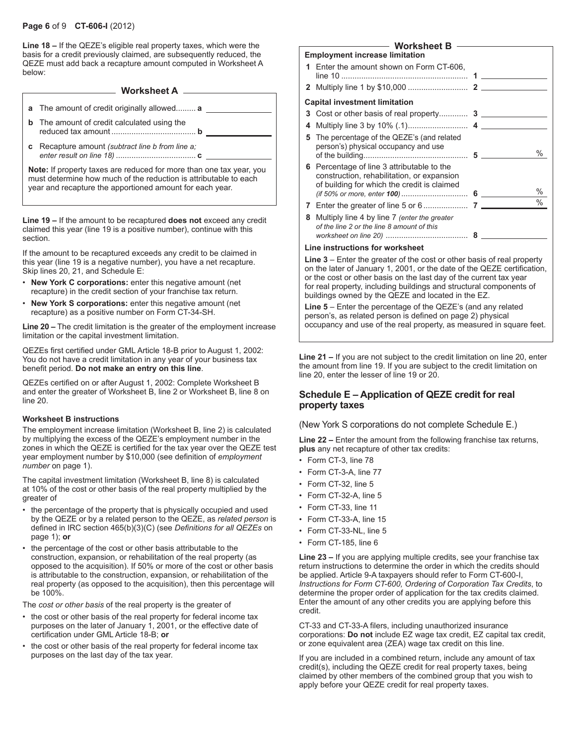#### **Page 6** of 9 **CT-606-I** (2012)

**Line 18 –** If the QEZE's eligible real property taxes, which were the basis for a credit previously claimed, are subsequently reduced, the QEZE must add back a recapture amount computed in Worksheet A below:

| Worksheet A –                                                                                                                                                                                              |                                                           |  |  |  |  |  |
|------------------------------------------------------------------------------------------------------------------------------------------------------------------------------------------------------------|-----------------------------------------------------------|--|--|--|--|--|
|                                                                                                                                                                                                            | <b>a</b> The amount of credit originally allowed <b>a</b> |  |  |  |  |  |
|                                                                                                                                                                                                            | <b>b</b> The amount of credit calculated using the        |  |  |  |  |  |
|                                                                                                                                                                                                            | <b>c</b> Recapture amount (subtract line b from line a;   |  |  |  |  |  |
| <b>Note:</b> If property taxes are reduced for more than one tax year, you<br>must determine how much of the reduction is attributable to each<br>year and recapture the apportioned amount for each year. |                                                           |  |  |  |  |  |

**Line 19 –** If the amount to be recaptured **does not** exceed any credit claimed this year (line 19 is a positive number), continue with this section.

If the amount to be recaptured exceeds any credit to be claimed in this year (line 19 is a negative number), you have a net recapture. Skip lines 20, 21, and Schedule E:

- **New York C corporations:** enter this negative amount (net recapture) in the credit section of your franchise tax return.
- **New York S corporations:** enter this negative amount (net recapture) as a positive number on Form CT-34-SH.

**Line 20 –** The credit limitation is the greater of the employment increase limitation or the capital investment limitation.

QEZEs first certified under GML Article 18-B prior to August 1, 2002: You do not have a credit limitation in any year of your business tax benefit period. **Do not make an entry on this line**.

QEZEs certified on or after August 1, 2002: Complete Worksheet B and enter the greater of Worksheet B, line 2 or Worksheet B, line 8 on line 20.

#### **Worksheet B instructions**

The employment increase limitation (Worksheet B, line 2) is calculated by multiplying the excess of the QEZE's employment number in the zones in which the QEZE is certified for the tax year over the QEZE test year employment number by \$10,000 (see definition of *employment number* on page 1).

The capital investment limitation (Worksheet B, line 8) is calculated at 10% of the cost or other basis of the real property multiplied by the greater of

- the percentage of the property that is physically occupied and used by the QEZE or by a related person to the QEZE, as *related person* is defined in IRC section 465(b)(3)(C) (see *Definitions for all QEZEs* on page 1); **or**
- the percentage of the cost or other basis attributable to the construction, expansion, or rehabilitation of the real property (as opposed to the acquisition). If 50% or more of the cost or other basis is attributable to the construction, expansion, or rehabilitation of the real property (as opposed to the acquisition), then this percentage will be 100%.

The *cost or other basis* of the real property is the greater of

- the cost or other basis of the real property for federal income tax purposes on the later of January 1, 2001, or the effective date of certification under GML Article 18-B; **or**
- the cost or other basis of the real property for federal income tax purposes on the last day of the tax year.

## **Worksheet B Employment increase limitation 1** Enter the amount shown on Form CT-606, line 10 ......................................................... **1 2** Multiply line 1 by \$10,000 ........................... **2 Capital investment limitation 3** Cost or other basis of real property............. **3 4** Multiply line 3 by 10% (.1)........................... **4 5** The percentage of the QEZE's (and related person's) physical occupancy and use of the building............................................... **5** % **6** Percentage of line 3 attributable to the construction, rehabilitation, or expansion of building for which the credit is claimed *(if 50% or more, enter 100)*.............................. **6** % **7** Enter the greater of line 5 or 6 .................... **7** % **8** Multiply line 4 by line 7 *(enter the greater of the line 2 or the line 8 amount of this worksheet on line 20)* ..................................... **8**

#### **Line instructions for worksheet**

**Line 3** – Enter the greater of the cost or other basis of real property on the later of January 1, 2001, or the date of the QEZE certification, or the cost or other basis on the last day of the current tax year for real property, including buildings and structural components of buildings owned by the QEZE and located in the EZ.

**Line 5** – Enter the percentage of the QEZE's (and any related person's, as related person is defined on page 2) physical occupancy and use of the real property, as measured in square feet.

**Line 21 –** If you are not subject to the credit limitation on line 20, enter the amount from line 19. If you are subject to the credit limitation on line 20, enter the lesser of line 19 or 20.

#### **Schedule E – Application of QEZE credit for real property taxes**

(New York S corporations do not complete Schedule E.)

**Line 22 –** Enter the amount from the following franchise tax returns, **plus** any net recapture of other tax credits:

- Form CT-3, line 78
- Form CT-3-A, line 77
- Form CT-32, line 5
- Form CT-32-A, line 5
- Form CT-33, line 11
- Form CT-33-A, line 15
- Form CT-33-NL, line 5
- Form CT-185, line 6

**Line 23 –** If you are applying multiple credits, see your franchise tax return instructions to determine the order in which the credits should be applied. Article 9-A taxpayers should refer to Form CT-600-I, *Instructions for Form CT-600, Ordering of Corporation Tax Credits*, to determine the proper order of application for the tax credits claimed. Enter the amount of any other credits you are applying before this credit.

CT-33 and CT-33-A filers, including unauthorized insurance corporations: **Do not** include EZ wage tax credit, EZ capital tax credit, or zone equivalent area (ZEA) wage tax credit on this line.

If you are included in a combined return, include any amount of tax credit(s), including the QEZE credit for real property taxes, being claimed by other members of the combined group that you wish to apply before your QEZE credit for real property taxes.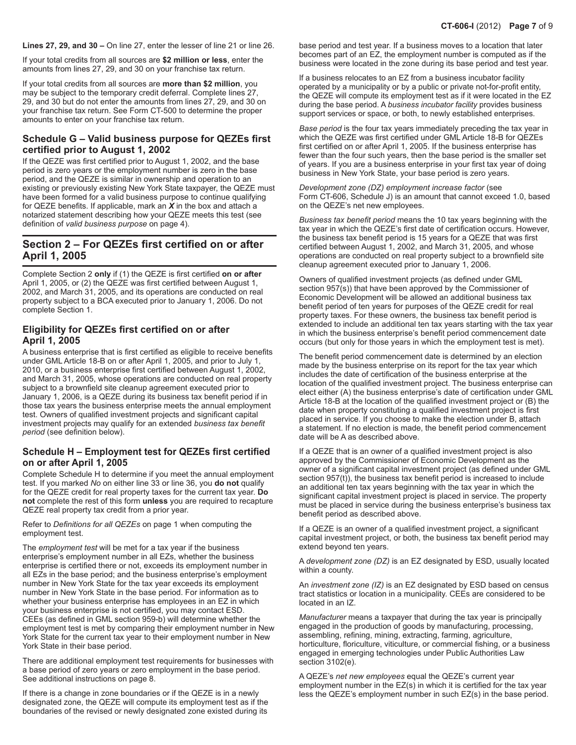**Lines 27, 29, and 30 –** On line 27, enter the lesser of line 21 or line 26.

If your total credits from all sources are **\$2 million or less**, enter the amounts from lines 27, 29, and 30 on your franchise tax return.

If your total credits from all sources are **more than \$2 million**, you may be subject to the temporary credit deferral. Complete lines 27, 29, and 30 but do not enter the amounts from lines 27, 29, and 30 on your franchise tax return. See Form CT-500 to determine the proper amounts to enter on your franchise tax return.

## **Schedule G – Valid business purpose for QEZEs first certified prior to August 1, 2002**

If the QEZE was first certified prior to August 1, 2002, and the base period is zero years or the employment number is zero in the base period, and the QEZE is similar in ownership and operation to an existing or previously existing New York State taxpayer, the QEZE must have been formed for a valid business purpose to continue qualifying for QEZE benefits. If applicable, mark an *X* in the box and attach a notarized statement describing how your QEZE meets this test (see definition of *valid business purpose* on page 4).

# **Section 2 – For QEZEs first certified on or after April 1, 2005**

Complete Section 2 **only** if (1) the QEZE is first certified **on or after**  April 1, 2005, or (2) the QEZE was first certified between August 1, 2002, and March 31, 2005, and its operations are conducted on real property subject to a BCA executed prior to January 1, 2006. Do not complete Section 1.

## **Eligibility for QEZEs first certified on or after April 1, 2005**

A business enterprise that is first certified as eligible to receive benefits under GML Article 18‑B on or after April 1, 2005, and prior to July 1, 2010, or a business enterprise first certified between August 1, 2002, and March 31, 2005, whose operations are conducted on real property subject to a brownfield site cleanup agreement executed prior to January 1, 2006, is a QEZE during its business tax benefit period if in those tax years the business enterprise meets the annual employment test. Owners of qualified investment projects and significant capital investment projects may qualify for an extended *business tax benefit period* (see definition below).

## **Schedule H – Employment test for QEZEs first certified on or after April 1, 2005**

Complete Schedule H to determine if you meet the annual employment test. If you marked *No* on either line 33 or line 36, you **do not** qualify for the QEZE credit for real property taxes for the current tax year. **Do not** complete the rest of this form **unless** you are required to recapture QEZE real property tax credit from a prior year.

Refer to *Definitions for all QEZEs* on page 1 when computing the employment test.

The *employment test* will be met for a tax year if the business enterprise's employment number in all EZs, whether the business enterprise is certified there or not, exceeds its employment number in all EZs in the base period; and the business enterprise's employment number in New York State for the tax year exceeds its employment number in New York State in the base period. For information as to whether your business enterprise has employees in an EZ in which your business enterprise is not certified, you may contact ESD. CEEs (as defined in GML section 959-b) will determine whether the employment test is met by comparing their employment number in New York State for the current tax year to their employment number in New York State in their base period.

There are additional employment test requirements for businesses with a base period of zero years or zero employment in the base period. See additional instructions on page 8.

If there is a change in zone boundaries or if the QEZE is in a newly designated zone, the QEZE will compute its employment test as if the boundaries of the revised or newly designated zone existed during its

base period and test year. If a business moves to a location that later becomes part of an EZ, the employment number is computed as if the business were located in the zone during its base period and test year.

If a business relocates to an EZ from a business incubator facility operated by a municipality or by a public or private not-for-profit entity, the QEZE will compute its employment test as if it were located in the EZ during the base period. A *business incubator facility* provides business support services or space, or both, to newly established enterprises.

*Base period* is the four tax years immediately preceding the tax year in which the QEZE was first certified under GML Article 18-B for QEZEs first certified on or after April 1, 2005. If the business enterprise has fewer than the four such years, then the base period is the smaller set of years. If you are a business enterprise in your first tax year of doing business in New York State, your base period is zero years.

*Development zone (DZ) employment increase factor* (see Form CT-606, Schedule J) is an amount that cannot exceed 1.0, based on the QEZE's net new employees.

*Business tax benefit period* means the 10 tax years beginning with the tax year in which the QEZE's first date of certification occurs. However, the business tax benefit period is 15 years for a QEZE that was first certified between August 1, 2002, and March 31, 2005, and whose operations are conducted on real property subject to a brownfield site cleanup agreement executed prior to January 1, 2006.

Owners of qualified investment projects (as defined under GML section 957(s)) that have been approved by the Commissioner of Economic Development will be allowed an additional business tax benefit period of ten years for purposes of the QEZE credit for real property taxes. For these owners, the business tax benefit period is extended to include an additional ten tax years starting with the tax year in which the business enterprise's benefit period commencement date occurs (but only for those years in which the employment test is met).

The benefit period commencement date is determined by an election made by the business enterprise on its report for the tax year which includes the date of certification of the business enterprise at the location of the qualified investment project. The business enterprise can elect either (A) the business enterprise's date of certification under GML Article 18-B at the location of the qualified investment project or (B) the date when property constituting a qualified investment project is first placed in service. If you choose to make the election under B, attach a statement. If no election is made, the benefit period commencement date will be A as described above.

If a QEZE that is an owner of a qualified investment project is also approved by the Commissioner of Economic Development as the owner of a significant capital investment project (as defined under GML section 957(t)), the business tax benefit period is increased to include an additional ten tax years beginning with the tax year in which the significant capital investment project is placed in service. The property must be placed in service during the business enterprise's business tax benefit period as described above.

If a QEZE is an owner of a qualified investment project, a significant capital investment project, or both, the business tax benefit period may extend beyond ten years.

A *development zone (DZ)* is an EZ designated by ESD, usually located within a county.

An *investment zone (IZ)* is an EZ designated by ESD based on census tract statistics or location in a municipality. CEEs are considered to be located in an IZ.

*Manufacturer* means a taxpayer that during the tax year is principally engaged in the production of goods by manufacturing, processing, assembling, refining, mining, extracting, farming, agriculture, horticulture, floriculture, viticulture, or commercial fishing, or a business engaged in emerging technologies under Public Authorities Law section 3102(e).

A QEZE's *net new employees* equal the QEZE's current year employment number in the EZ(s) in which it is certified for the tax year less the QEZE's employment number in such EZ(s) in the base period.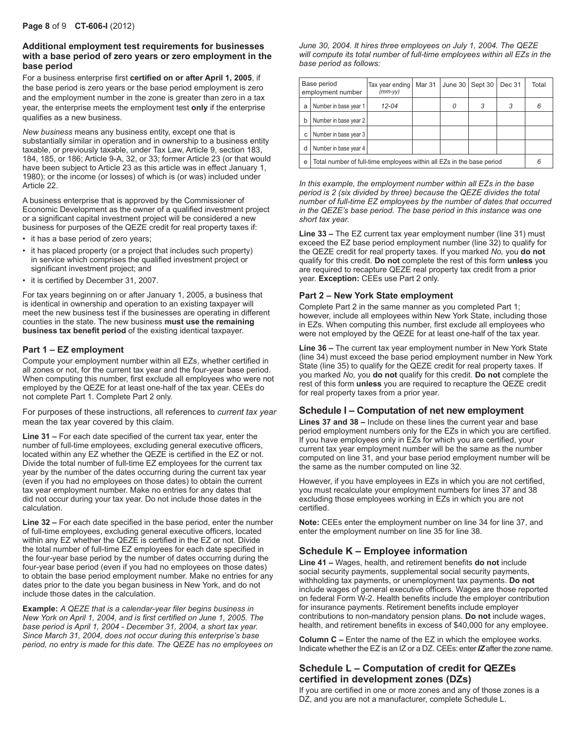#### **Additional employment test requirements for businesses with a base period of zero years or zero employment in the base period**

For a business enterprise first **certified on or after April 1, 2005**, if the base period is zero years or the base period employment is zero and the employment number in the zone is greater than zero in a tax year, the enterprise meets the employment test **only** if the enterprise qualifies as a new business.

*New business* means any business entity, except one that is substantially similar in operation and in ownership to a business entity taxable, or previously taxable, under Tax Law, Article 9, section 183, 184, 185, or 186; Article 9-A, 32, or 33; former Article 23 (or that would have been subject to Article 23 as this article was in effect January 1, 1980); or the income (or losses) of which is (or was) included under Article 22.

A business enterprise that is approved by the Commissioner of Economic Development as the owner of a qualified investment project or a significant capital investment project will be considered a new business for purposes of the QEZE credit for real property taxes if:

- it has a base period of zero years;
- it has placed property (or a project that includes such property) in service which comprises the qualified investment project or significant investment project; and
- it is certified by December 31, 2007.

For tax years beginning on or after January 1, 2005, a business that is identical in ownership and operation to an existing taxpayer will meet the new business test if the businesses are operating in different counties in the state. The new business **must use the remaining business tax benefit period** of the existing identical taxpayer.

#### **Part 1 – EZ employment**

Compute your employment number within all EZs, whether certified in all zones or not, for the current tax year and the four‑year base period. When computing this number, first exclude all employees who were not employed by the QEZE for at least one-half of the tax year. CEEs do not complete Part 1. Complete Part 2 only.

For purposes of these instructions, all references to *current tax year*  mean the tax year covered by this claim.

**Line 31 –** For each date specified of the current tax year, enter the number of full-time employees, excluding general executive officers, located within any EZ whether the QEZE is certified in the EZ or not. Divide the total number of full-time EZ employees for the current tax year by the number of the dates occurring during the current tax year (even if you had no employees on those dates) to obtain the current tax year employment number. Make no entries for any dates that did not occur during your tax year. Do not include those dates in the calculation.

**Line 32 –** For each date specified in the base period, enter the number of full-time employees, excluding general executive officers, located within any EZ whether the QEZE is certified in the EZ or not. Divide the total number of full-time EZ employees for each date specified in the four-year base period by the number of dates occurring during the four-year base period (even if you had no employees on those dates) to obtain the base period employment number. Make no entries for any dates prior to the date you began business in New York, and do not include those dates in the calculation.

**Example:** *A QEZE that is a calendar-year filer begins business in New York on April 1, 2004, and is first certified on June 1, 2005. The base period is April 1, 2004 - December 31, 2004, a short tax year. Since March 31, 2004, does not occur during this enterprise's base period, no entry is made for this date. The QEZE has no employees on* 

*June 30, 2004. It hires three employees on July 1, 2004. The QEZE will compute its total number of full‑time employees within all EZs in the base period as follows:*

| Base period<br>employment number |                                                                       | Tax year ending<br>$(mm-vv)$ | Mar 31 | June $30$ | Sept 30 | Dec 31 | Total |
|----------------------------------|-----------------------------------------------------------------------|------------------------------|--------|-----------|---------|--------|-------|
| a                                | Number in base year 1                                                 | $12 - 04$                    |        |           |         | 3      | 6     |
| b                                | Number in base year 2                                                 |                              |        |           |         |        |       |
| C                                | Number in base year 3                                                 |                              |        |           |         |        |       |
| d                                | Number in base year 4                                                 |                              |        |           |         |        |       |
| e                                | Total number of full-time employees within all EZs in the base period |                              |        |           |         |        | 6     |

*In this example, the employment number within all EZs in the base period is 2 (six divided by three) because the QEZE divides the total number of full-time EZ employees by the number of dates that occurred in the QEZE's base period. The base period in this instance was one short tax year.*

**Line 33 –** The EZ current tax year employment number (line 31) must exceed the EZ base period employment number (line 32) to qualify for the QEZE credit for real property taxes. If you marked *No,* you **do not** qualify for this credit. **Do not** complete the rest of this form **unless** you are required to recapture QEZE real property tax credit from a prior year. **Exception:** CEEs use Part 2 only.

# **Part 2 – New York State employment**

Complete Part 2 in the same manner as you completed Part 1; however, include all employees within New York State, including those in EZs. When computing this number, first exclude all employees who were not employed by the QEZE for at least one-half of the tax year.

**Line 36 –** The current tax year employment number in New York State (line 34) must exceed the base period employment number in New York State (line 35) to qualify for the QEZE credit for real property taxes. If you marked *No,* you **do not** qualify for this credit. **Do not** complete the rest of this form **unless** you are required to recapture the QEZE credit for real property taxes from a prior year.

# **Schedule I – Computation of net new employment**

**Lines 37 and 38 –** Include on these lines the current year and base period employment numbers only for the EZs in which you are certified. If you have employees only in EZs for which you are certified, your current tax year employment number will be the same as the number computed on line 31, and your base period employment number will be the same as the number computed on line 32.

However, if you have employees in EZs in which you are not certified, you must recalculate your employment numbers for lines 37 and 38 excluding those employees working in EZs in which you are not certified.

**Note:** CEEs enter the employment number on line 34 for line 37, and enter the employment number on line 35 for line 38.

# **Schedule K – Employee information**

**Line 41 –** Wages, health, and retirement benefits **do not** include social security payments, supplemental social security payments, withholding tax payments, or unemployment tax payments. **Do not** include wages of general executive officers. Wages are those reported on federal Form W-2. Health benefits include the employer contribution for insurance payments. Retirement benefits include employer contributions to non-mandatory pension plans. **Do not** include wages, health, and retirement benefits in excess of \$40,000 for any employee.

**Column C –** Enter the name of the EZ in which the employee works. Indicate whether the EZ is an IZ or a DZ. CEEs: enter *IZ* after the zone name.

# **Schedule L – Computation of credit for QEZEs certified in development zones (DZs)**

If you are certified in one or more zones and any of those zones is a DZ, and you are not a manufacturer, complete Schedule L.